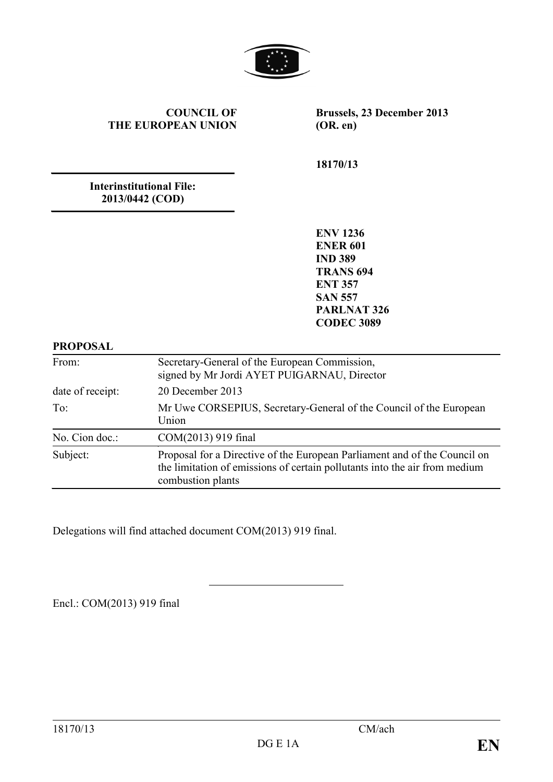

#### **COUNCIL OF THE EUROPEAN UNION**

**Brussels, 23 December 2013 (OR. en)**

**18170/13**

**Interinstitutional File: 2013/0442 (COD)**

> **ENV 1236 ENER 601 IND 389 TRANS 694 ENT 357 SAN 557 PARLNAT 326 CODEC 3089**

#### **PROPOSAL**

| From:            | Secretary-General of the European Commission,<br>signed by Mr Jordi AYET PUIGARNAU, Director                                                                                 |
|------------------|------------------------------------------------------------------------------------------------------------------------------------------------------------------------------|
| date of receipt: | 20 December 2013                                                                                                                                                             |
| To:              | Mr Uwe CORSEPIUS, Secretary-General of the Council of the European<br>Union                                                                                                  |
| No. Cion doc.:   | COM(2013) 919 final                                                                                                                                                          |
| Subject:         | Proposal for a Directive of the European Parliament and of the Council on<br>the limitation of emissions of certain pollutants into the air from medium<br>combustion plants |

Delegations will find attached document COM(2013) 919 final.

Encl.: COM(2013) 919 final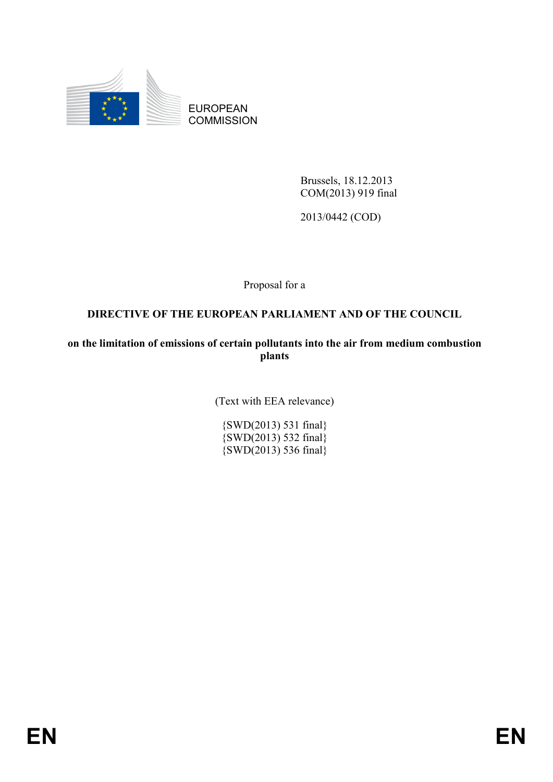

EUROPEAN **COMMISSION** 

> Brussels, 18.12.2013 COM(2013) 919 final

2013/0442 (COD)

Proposal for a

# **DIRECTIVE OF THE EUROPEAN PARLIAMENT AND OF THE COUNCIL**

**on the limitation of emissions of certain pollutants into the air from medium combustion plants**

(Text with EEA relevance)

{SWD(2013) 531 final} {SWD(2013) 532 final} {SWD(2013) 536 final}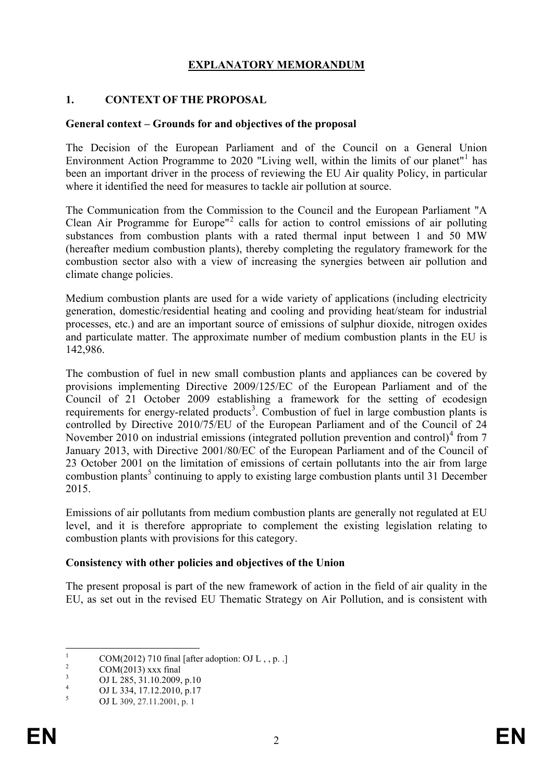#### **EXPLANATORY MEMORANDUM**

#### **1. CONTEXT OF THE PROPOSAL**

#### **General context – Grounds for and objectives of the proposal**

The Decision of the European Parliament and of the Council on a General Union Environment Action Programme to 2020 "Living well, within the limits of our planet" has been an important driver in the process of reviewing the EU Air quality Policy, in particular where it identified the need for measures to tackle air pollution at source.

The Communication from the Commission to the Council and the European Parliament "A Clean Air Programme for Europe" [2](#page-2-1) calls for action to control emissions of air polluting substances from combustion plants with a rated thermal input between 1 and 50 MW (hereafter medium combustion plants), thereby completing the regulatory framework for the combustion sector also with a view of increasing the synergies between air pollution and climate change policies.

Medium combustion plants are used for a wide variety of applications (including electricity generation, domestic/residential heating and cooling and providing heat/steam for industrial processes, etc.) and are an important source of emissions of sulphur dioxide, nitrogen oxides and particulate matter. The approximate number of medium combustion plants in the EU is 142,986.

The combustion of fuel in new small combustion plants and appliances can be covered by provisions implementing Directive 2009/125/EC of the European Parliament and of the Council of 21 October 2009 establishing a framework for the setting of ecodesign requirements for energy-related products<sup>[3](#page-2-2)</sup>. Combustion of fuel in large combustion plants is controlled by Directive 2010/75/EU of the European Parliament and of the Council of 24 November 2010 on industrial emissions (integrated pollution prevention and control)<sup>[4](#page-2-3)</sup> from 7 January 2013, with Directive 2001/80/EC of the European Parliament and of the Council of 23 October 2001 on the limitation of emissions of certain pollutants into the air from large combustion plants<sup>[5](#page-2-4)</sup> continuing to apply to existing large combustion plants until 31 December 2015.

Emissions of air pollutants from medium combustion plants are generally not regulated at EU level, and it is therefore appropriate to complement the existing legislation relating to combustion plants with provisions for this category.

#### **Consistency with other policies and objectives of the Union**

The present proposal is part of the new framework of action in the field of air quality in the EU, as set out in the revised EU Thematic Strategy on Air Pollution, and is consistent with

<span id="page-2-1"></span><span id="page-2-0"></span><sup>&</sup>lt;sup>1</sup> COM(2012) 710 final [after adoption: OJ L , , p. .]<br>
<sup>2</sup> COM(2013) xxx final<br>
<sup>3</sup> OJ L 285, 31.10.2009, p.10<br>
<sup>4</sup> OJ L 334, 17.12.2010, p.17<br> **5** OJ L 309, 27.11.2001, p. 1

<span id="page-2-2"></span>

<span id="page-2-3"></span>

<span id="page-2-4"></span>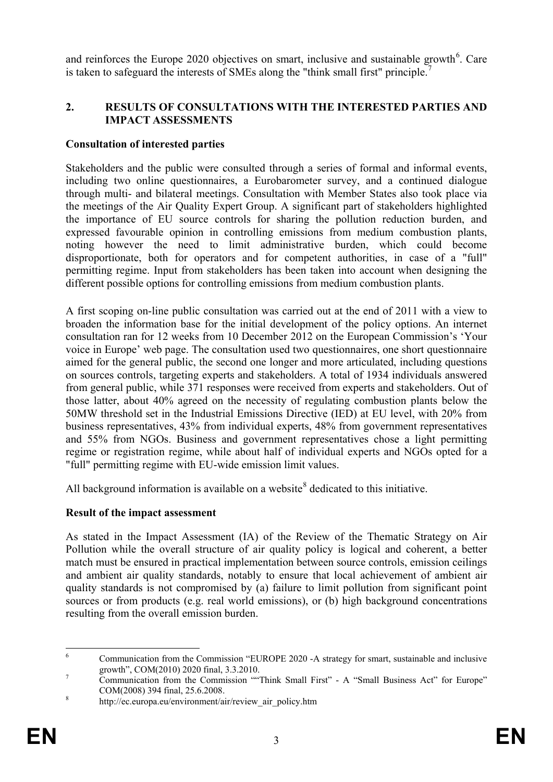and reinforces the Europe 2020 objectives on smart, inclusive and sustainable growth<sup>[6](#page-3-0)</sup>. Care is taken to safeguard the interests of SMEs along the "think small first" principle.

### **2. RESULTS OF CONSULTATIONS WITH THE INTERESTED PARTIES AND IMPACT ASSESSMENTS**

#### **Consultation of interested parties**

Stakeholders and the public were consulted through a series of formal and informal events, including two online questionnaires, a Eurobarometer survey, and a continued dialogue through multi- and bilateral meetings. Consultation with Member States also took place via the meetings of the Air Quality Expert Group. A significant part of stakeholders highlighted the importance of EU source controls for sharing the pollution reduction burden, and expressed favourable opinion in controlling emissions from medium combustion plants, noting however the need to limit administrative burden, which could become disproportionate, both for operators and for competent authorities, in case of a "full" permitting regime. Input from stakeholders has been taken into account when designing the different possible options for controlling emissions from medium combustion plants.

A first scoping on-line public consultation was carried out at the end of 2011 with a view to broaden the information base for the initial development of the policy options. An internet consultation ran for 12 weeks from 10 December 2012 on the European Commission's 'Your voice in Europe' web page. The consultation used two questionnaires, one short questionnaire aimed for the general public, the second one longer and more articulated, including questions on sources controls, targeting experts and stakeholders. A total of 1934 individuals answered from general public, while 371 responses were received from experts and stakeholders. Out of those latter, about 40% agreed on the necessity of regulating combustion plants below the 50MW threshold set in the Industrial Emissions Directive (IED) at EU level, with 20% from business representatives, 43% from individual experts, 48% from government representatives and 55% from NGOs. Business and government representatives chose a light permitting regime or registration regime, while about half of individual experts and NGOs opted for a "full" permitting regime with EU-wide emission limit values.

All background information is available on a website<sup>[8](#page-3-2)</sup> dedicated to this initiative.

#### **Result of the impact assessment**

As stated in the Impact Assessment (IA) of the Review of the Thematic Strategy on Air Pollution while the overall structure of air quality policy is logical and coherent, a better match must be ensured in practical implementation between source controls, emission ceilings and ambient air quality standards, notably to ensure that local achievement of ambient air quality standards is not compromised by (a) failure to limit pollution from significant point sources or from products (e.g. real world emissions), or (b) high background concentrations resulting from the overall emission burden.

<span id="page-3-0"></span> <sup>6</sup> Communication from the Commission "EUROPE 2020 -A strategy for smart, sustainable and inclusive growth", COM(2010) 2020 final, 3.3.2010.<br><sup>7</sup> Communication from the Commission ""Think Small First" - A "Small Business Act" for Europe"

<span id="page-3-1"></span>com(2008) 394 final, 25.6.2008.<br><sup>8</sup> http://ec.europa.eu/environment/air/review air policy.htm

<span id="page-3-2"></span>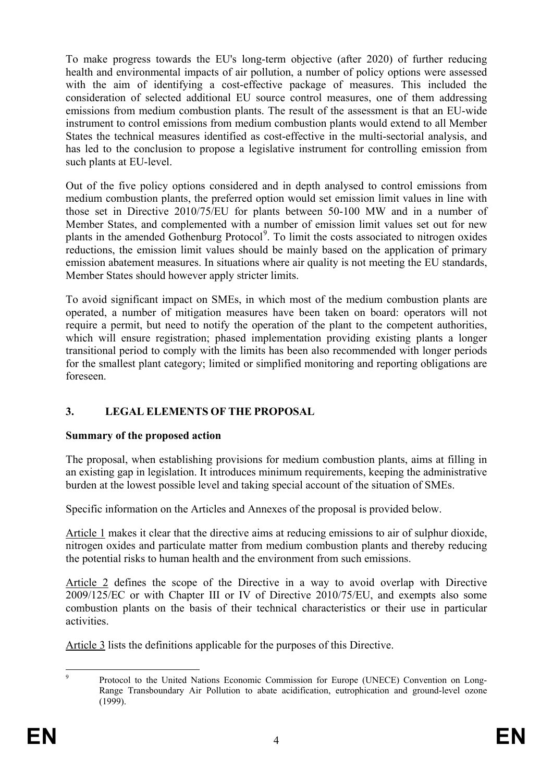To make progress towards the EU's long-term objective (after 2020) of further reducing health and environmental impacts of air pollution, a number of policy options were assessed with the aim of identifying a cost-effective package of measures. This included the consideration of selected additional EU source control measures, one of them addressing emissions from medium combustion plants. The result of the assessment is that an EU-wide instrument to control emissions from medium combustion plants would extend to all Member States the technical measures identified as cost-effective in the multi-sectorial analysis, and has led to the conclusion to propose a legislative instrument for controlling emission from such plants at EU-level.

Out of the five policy options considered and in depth analysed to control emissions from medium combustion plants, the preferred option would set emission limit values in line with those set in Directive 2010/75/EU for plants between 50-100 MW and in a number of Member States, and complemented with a number of emission limit values set out for new plants in the amended Gothenburg Protocol<sup>[9](#page-4-0)</sup>. To limit the costs associated to nitrogen oxides reductions, the emission limit values should be mainly based on the application of primary emission abatement measures. In situations where air quality is not meeting the EU standards, Member States should however apply stricter limits.

To avoid significant impact on SMEs, in which most of the medium combustion plants are operated, a number of mitigation measures have been taken on board: operators will not require a permit, but need to notify the operation of the plant to the competent authorities, which will ensure registration; phased implementation providing existing plants a longer transitional period to comply with the limits has been also recommended with longer periods for the smallest plant category; limited or simplified monitoring and reporting obligations are foreseen.

# **3. LEGAL ELEMENTS OF THE PROPOSAL**

# **Summary of the proposed action**

The proposal, when establishing provisions for medium combustion plants, aims at filling in an existing gap in legislation. It introduces minimum requirements, keeping the administrative burden at the lowest possible level and taking special account of the situation of SMEs.

Specific information on the Articles and Annexes of the proposal is provided below.

Article 1 makes it clear that the directive aims at reducing emissions to air of sulphur dioxide, nitrogen oxides and particulate matter from medium combustion plants and thereby reducing the potential risks to human health and the environment from such emissions.

Article 2 defines the scope of the Directive in a way to avoid overlap with Directive 2009/125/EC or with Chapter III or IV of Directive 2010/75/EU, and exempts also some combustion plants on the basis of their technical characteristics or their use in particular activities.

Article 3 lists the definitions applicable for the purposes of this Directive.

<span id="page-4-0"></span> <sup>9</sup> Protocol to the United Nations Economic Commission for Europe (UNECE) Convention on Long-Range Transboundary Air Pollution to abate acidification, eutrophication and ground-level ozone (1999).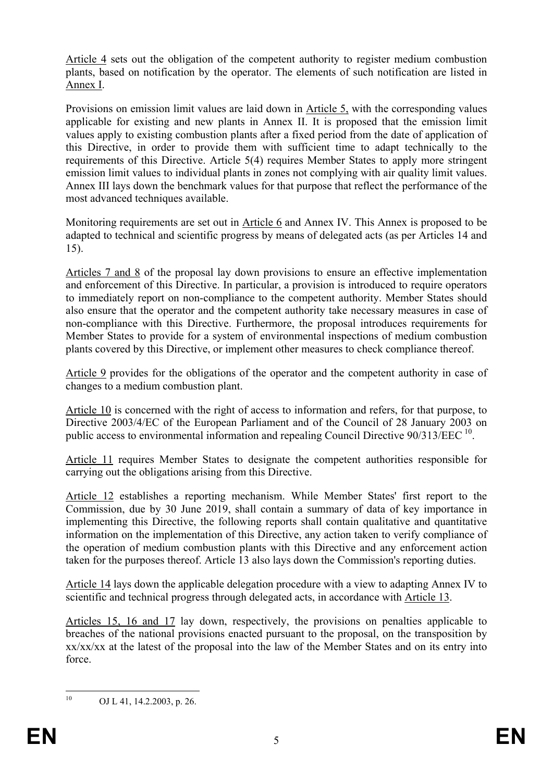Article 4 sets out the obligation of the competent authority to register medium combustion plants, based on notification by the operator. The elements of such notification are listed in Annex I.

Provisions on emission limit values are laid down in Article 5, with the corresponding values applicable for existing and new plants in Annex II. It is proposed that the emission limit values apply to existing combustion plants after a fixed period from the date of application of this Directive, in order to provide them with sufficient time to adapt technically to the requirements of this Directive. Article 5(4) requires Member States to apply more stringent emission limit values to individual plants in zones not complying with air quality limit values. Annex III lays down the benchmark values for that purpose that reflect the performance of the most advanced techniques available.

Monitoring requirements are set out in Article 6 and Annex IV. This Annex is proposed to be adapted to technical and scientific progress by means of delegated acts (as per Articles 14 and 15).

Articles 7 and 8 of the proposal lay down provisions to ensure an effective implementation and enforcement of this Directive. In particular, a provision is introduced to require operators to immediately report on non-compliance to the competent authority. Member States should also ensure that the operator and the competent authority take necessary measures in case of non-compliance with this Directive. Furthermore, the proposal introduces requirements for Member States to provide for a system of environmental inspections of medium combustion plants covered by this Directive, or implement other measures to check compliance thereof.

Article 9 provides for the obligations of the operator and the competent authority in case of changes to a medium combustion plant.

Article 10 is concerned with the right of access to information and refers, for that purpose, to Directive 2003/4/EC of the European Parliament and of the Council of 28 January 2003 on public access to environmental information and repealing Council Directive 90/313/EEC <sup>[10](#page-5-0)</sup>.

Article 11 requires Member States to designate the competent authorities responsible for carrying out the obligations arising from this Directive.

Article 12 establishes a reporting mechanism. While Member States' first report to the Commission, due by 30 June 2019, shall contain a summary of data of key importance in implementing this Directive, the following reports shall contain qualitative and quantitative information on the implementation of this Directive, any action taken to verify compliance of the operation of medium combustion plants with this Directive and any enforcement action taken for the purposes thereof. Article 13 also lays down the Commission's reporting duties.

Article 14 lays down the applicable delegation procedure with a view to adapting Annex IV to scientific and technical progress through delegated acts, in accordance with Article 13.

Articles 15, 16 and 17 lay down, respectively, the provisions on penalties applicable to breaches of the national provisions enacted pursuant to the proposal, on the transposition by xx/xx/xx at the latest of the proposal into the law of the Member States and on its entry into force.

<span id="page-5-0"></span>

 $10$  OJ L 41, 14.2.2003, p. 26.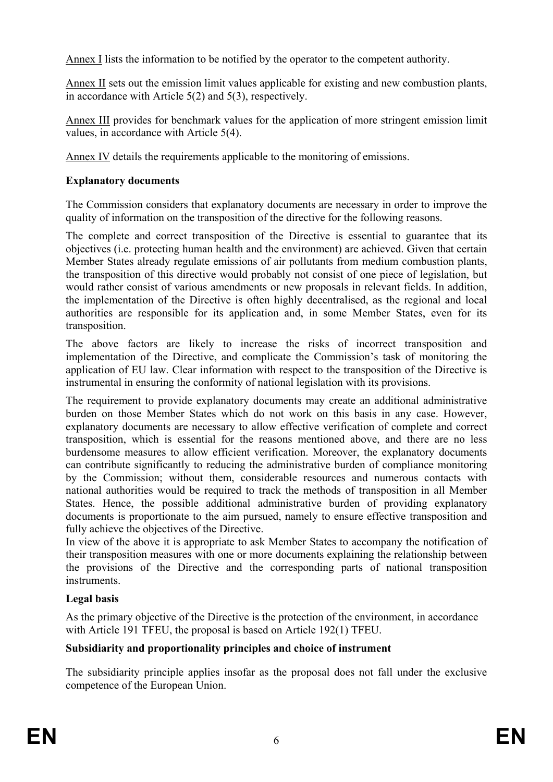Annex I lists the information to be notified by the operator to the competent authority.

Annex II sets out the emission limit values applicable for existing and new combustion plants, in accordance with Article 5(2) and 5(3), respectively.

Annex III provides for benchmark values for the application of more stringent emission limit values, in accordance with Article 5(4).

Annex IV details the requirements applicable to the monitoring of emissions.

## **Explanatory documents**

The Commission considers that explanatory documents are necessary in order to improve the quality of information on the transposition of the directive for the following reasons.

The complete and correct transposition of the Directive is essential to guarantee that its objectives (i.e. protecting human health and the environment) are achieved. Given that certain Member States already regulate emissions of air pollutants from medium combustion plants, the transposition of this directive would probably not consist of one piece of legislation, but would rather consist of various amendments or new proposals in relevant fields. In addition, the implementation of the Directive is often highly decentralised, as the regional and local authorities are responsible for its application and, in some Member States, even for its transposition.

The above factors are likely to increase the risks of incorrect transposition and implementation of the Directive, and complicate the Commission's task of monitoring the application of EU law. Clear information with respect to the transposition of the Directive is instrumental in ensuring the conformity of national legislation with its provisions.

The requirement to provide explanatory documents may create an additional administrative burden on those Member States which do not work on this basis in any case. However, explanatory documents are necessary to allow effective verification of complete and correct transposition, which is essential for the reasons mentioned above, and there are no less burdensome measures to allow efficient verification. Moreover, the explanatory documents can contribute significantly to reducing the administrative burden of compliance monitoring by the Commission; without them, considerable resources and numerous contacts with national authorities would be required to track the methods of transposition in all Member States. Hence, the possible additional administrative burden of providing explanatory documents is proportionate to the aim pursued, namely to ensure effective transposition and fully achieve the objectives of the Directive.

In view of the above it is appropriate to ask Member States to accompany the notification of their transposition measures with one or more documents explaining the relationship between the provisions of the Directive and the corresponding parts of national transposition instruments.

# **Legal basis**

As the primary objective of the Directive is the protection of the environment, in accordance with Article 191 TFEU, the proposal is based on Article  $192(1)$  TFEU.

# **Subsidiarity and proportionality principles and choice of instrument**

The subsidiarity principle applies insofar as the proposal does not fall under the exclusive competence of the European Union.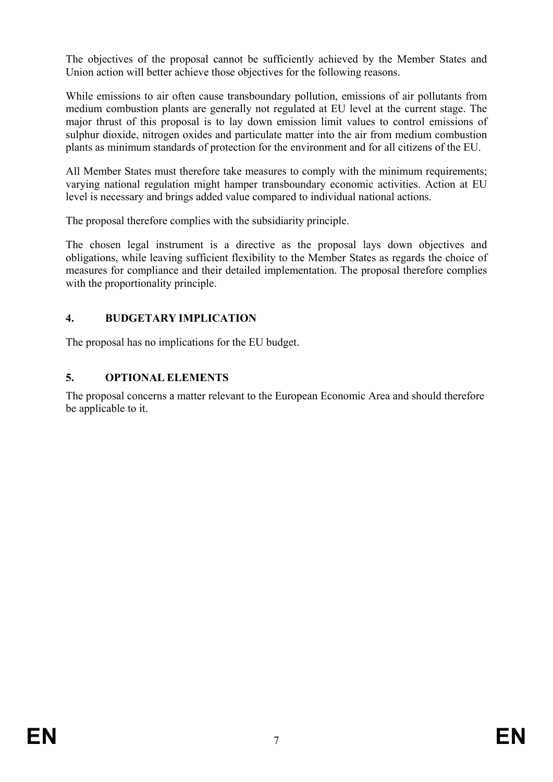The objectives of the proposal cannot be sufficiently achieved by the Member States and Union action will better achieve those objectives for the following reasons.

While emissions to air often cause transboundary pollution, emissions of air pollutants from medium combustion plants are generally not regulated at EU level at the current stage. The major thrust of this proposal is to lay down emission limit values to control emissions of sulphur dioxide, nitrogen oxides and particulate matter into the air from medium combustion plants as minimum standards of protection for the environment and for all citizens of the EU.

All Member States must therefore take measures to comply with the minimum requirements; varying national regulation might hamper transboundary economic activities. Action at EU level is necessary and brings added value compared to individual national actions.

The proposal therefore complies with the subsidiarity principle.

The chosen legal instrument is a directive as the proposal lays down objectives and obligations, while leaving sufficient flexibility to the Member States as regards the choice of measures for compliance and their detailed implementation. The proposal therefore complies with the proportionality principle.

# **4. BUDGETARY IMPLICATION**

The proposal has no implications for the EU budget.

# **5. OPTIONAL ELEMENTS**

The proposal concerns a matter relevant to the European Economic Area and should therefore be applicable to it.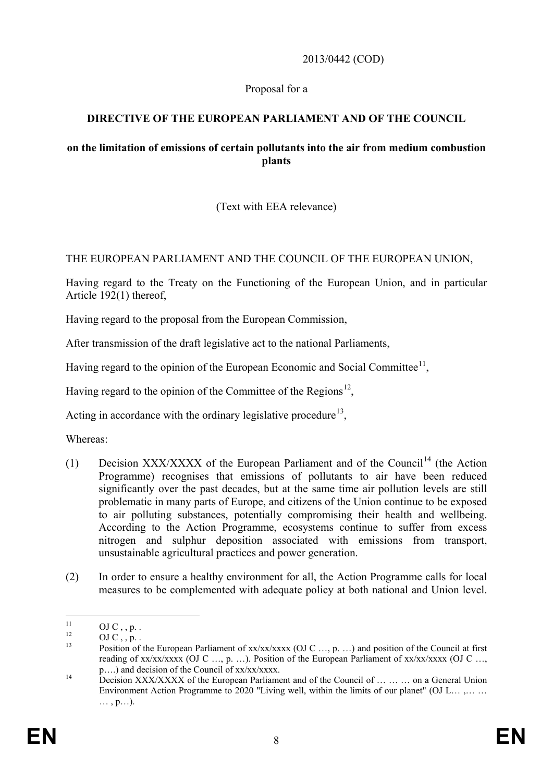#### 2013/0442 (COD)

#### Proposal for a

### **DIRECTIVE OF THE EUROPEAN PARLIAMENT AND OF THE COUNCIL**

#### **on the limitation of emissions of certain pollutants into the air from medium combustion plants**

### (Text with EEA relevance)

#### THE EUROPEAN PARLIAMENT AND THE COUNCIL OF THE EUROPEAN UNION,

Having regard to the Treaty on the Functioning of the European Union, and in particular Article 192(1) thereof,

Having regard to the proposal from the European Commission,

After transmission of the draft legislative act to the national Parliaments,

Having regard to the opinion of the European Economic and Social Committee<sup>11</sup>,

Having regard to the opinion of the Committee of the Regions<sup>[12](#page-8-1)</sup>.

Acting in accordance with the ordinary legislative procedure<sup>[13](#page-8-2)</sup>,

Whereas:

- (1) Decision XXX/XXXX of the European Parliament and of the Council<sup>[14](#page-8-3)</sup> (the Action Programme) recognises that emissions of pollutants to air have been reduced significantly over the past decades, but at the same time air pollution levels are still problematic in many parts of Europe, and citizens of the Union continue to be exposed to air polluting substances, potentially compromising their health and wellbeing. According to the Action Programme, ecosystems continue to suffer from excess nitrogen and sulphur deposition associated with emissions from transport, unsustainable agricultural practices and power generation.
- (2) In order to ensure a healthy environment for all, the Action Programme calls for local measures to be complemented with adequate policy at both national and Union level.

<span id="page-8-2"></span>

<span id="page-8-1"></span><span id="page-8-0"></span><sup>11</sup> OJ C , , p. .<br>
<sup>12</sup> OJ C , , p. . . <br>
Position of the European Parliament of xx/xx/xxxx (OJ C …, p. . . . ) and position of the Council at first reading of xx/xx/xxxx (OJ C ..., p. ...). Position of the European Parliament of xx/xx/xxxx (OJ C ..., p. ...) and decision of the Council of xx/xx/xxxx.

<span id="page-8-3"></span> $p_{14}$  Decision XXX/XXXX of the European Parliament and of the Council of  $\ldots$   $\ldots$  on a General Union Environment Action Programme to 2020 "Living well, within the limits of our planet" (OJ L… .... ... … , p…).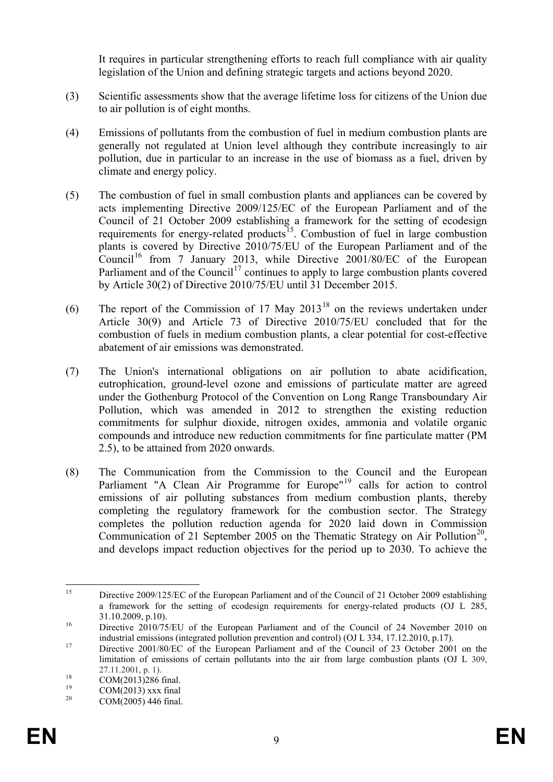It requires in particular strengthening efforts to reach full compliance with air quality legislation of the Union and defining strategic targets and actions beyond 2020.

- (3) Scientific assessments show that the average lifetime loss for citizens of the Union due to air pollution is of eight months.
- (4) Emissions of pollutants from the combustion of fuel in medium combustion plants are generally not regulated at Union level although they contribute increasingly to air pollution, due in particular to an increase in the use of biomass as a fuel, driven by climate and energy policy.
- (5) The combustion of fuel in small combustion plants and appliances can be covered by acts implementing Directive 2009/125/EC of the European Parliament and of the Council of 21 October 2009 establishing a framework for the setting of ecodesign requirements for energy-related products<sup>[15](#page-9-0)</sup>. Combustion of fuel in large combustion plants is covered by Directive 2010/75/EU of the European Parliament and of the Council<sup>[16](#page-9-1)</sup> from 7 January 2013, while Directive 2001/80/EC of the European Parliament and of the Council<sup>[17](#page-9-2)</sup> continues to apply to large combustion plants covered by Article 30(2) of Directive 2010/75/EU until 31 December 2015.
- (6) The report of the Commission of 17 May  $2013^{18}$  $2013^{18}$  $2013^{18}$  on the reviews undertaken under Article 30(9) and Article 73 of Directive 2010/75/EU concluded that for the combustion of fuels in medium combustion plants, a clear potential for cost-effective abatement of air emissions was demonstrated.
- (7) The Union's international obligations on air pollution to abate acidification, eutrophication, ground-level ozone and emissions of particulate matter are agreed under the Gothenburg Protocol of the Convention on Long Range Transboundary Air Pollution, which was amended in 2012 to strengthen the existing reduction commitments for sulphur dioxide, nitrogen oxides, ammonia and volatile organic compounds and introduce new reduction commitments for fine particulate matter (PM 2.5), to be attained from 2020 onwards.
- (8) The Communication from the Commission to the Council and the European Parliament "A Clean Air Programme for Europe"<sup>[19](#page-9-4)</sup> calls for action to control emissions of air polluting substances from medium combustion plants, thereby completing the regulatory framework for the combustion sector. The Strategy completes the pollution reduction agenda for 2020 laid down in Commission Communication of 21 September 2005 on the Thematic Strategy on Air Pollution<sup>20</sup>, and develops impact reduction objectives for the period up to 2030. To achieve the

<span id="page-9-0"></span><sup>&</sup>lt;sup>15</sup> Directive 2009/125/EC of the European Parliament and of the Council of 21 October 2009 establishing a framework for the setting of ecodesign requirements for energy-related products (OJ L 285, <sup>16</sup> 31.10.2009, p.10).<br><sup>16</sup> Directive 2010/75/EU of the European Parliament and of the Council of 24 November 2010 on

<span id="page-9-1"></span>industrial emissions (integrated pollution prevention and control) (OJ L 334, 17.12.2010, p.17). <sup>17</sup> Directive 2001/80/EC of the European Parliament and of the Council of 23 October 2001 on the

<span id="page-9-2"></span>limitation of emissions of certain pollutants into the air from large combustion plants (OJ L 309,

<span id="page-9-3"></span><sup>27.11.2001,</sup> p. 1).<br>
29 COM(2013)286 final.<br>
20 COM(2005) 446 final.

<span id="page-9-5"></span><span id="page-9-4"></span>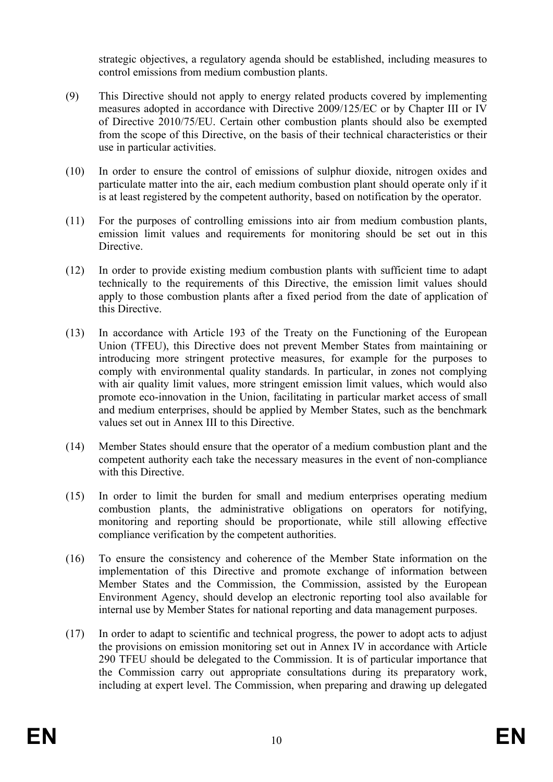strategic objectives, a regulatory agenda should be established, including measures to control emissions from medium combustion plants.

- (9) This Directive should not apply to energy related products covered by implementing measures adopted in accordance with Directive 2009/125/EC or by Chapter III or IV of Directive 2010/75/EU. Certain other combustion plants should also be exempted from the scope of this Directive, on the basis of their technical characteristics or their use in particular activities.
- (10) In order to ensure the control of emissions of sulphur dioxide, nitrogen oxides and particulate matter into the air, each medium combustion plant should operate only if it is at least registered by the competent authority, based on notification by the operator.
- (11) For the purposes of controlling emissions into air from medium combustion plants, emission limit values and requirements for monitoring should be set out in this **Directive**
- (12) In order to provide existing medium combustion plants with sufficient time to adapt technically to the requirements of this Directive, the emission limit values should apply to those combustion plants after a fixed period from the date of application of this Directive.
- (13) In accordance with Article 193 of the Treaty on the Functioning of the European Union (TFEU), this Directive does not prevent Member States from maintaining or introducing more stringent protective measures, for example for the purposes to comply with environmental quality standards. In particular, in zones not complying with air quality limit values, more stringent emission limit values, which would also promote eco-innovation in the Union, facilitating in particular market access of small and medium enterprises, should be applied by Member States, such as the benchmark values set out in Annex III to this Directive.
- (14) Member States should ensure that the operator of a medium combustion plant and the competent authority each take the necessary measures in the event of non-compliance with this Directive.
- (15) In order to limit the burden for small and medium enterprises operating medium combustion plants, the administrative obligations on operators for notifying, monitoring and reporting should be proportionate, while still allowing effective compliance verification by the competent authorities.
- (16) To ensure the consistency and coherence of the Member State information on the implementation of this Directive and promote exchange of information between Member States and the Commission, the Commission, assisted by the European Environment Agency, should develop an electronic reporting tool also available for internal use by Member States for national reporting and data management purposes.
- (17) In order to adapt to scientific and technical progress, the power to adopt acts to adjust the provisions on emission monitoring set out in Annex IV in accordance with Article 290 TFEU should be delegated to the Commission. It is of particular importance that the Commission carry out appropriate consultations during its preparatory work, including at expert level. The Commission, when preparing and drawing up delegated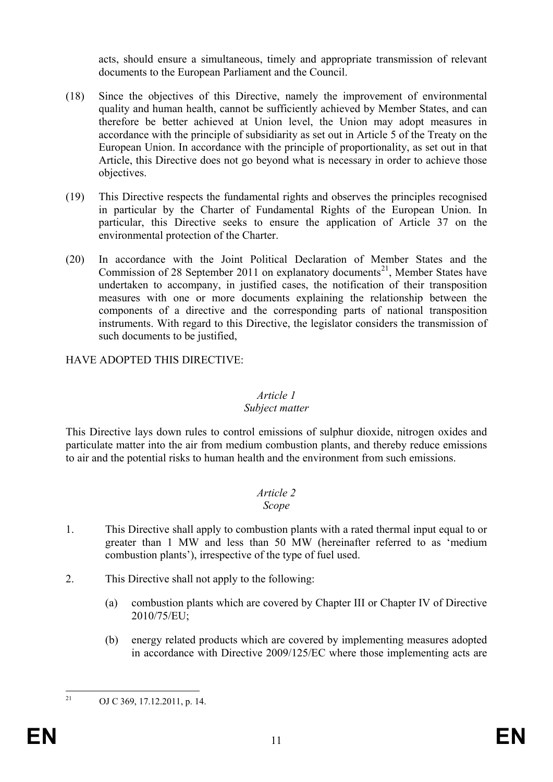acts, should ensure a simultaneous, timely and appropriate transmission of relevant documents to the European Parliament and the Council.

- (18) Since the objectives of this Directive, namely the improvement of environmental quality and human health, cannot be sufficiently achieved by Member States, and can therefore be better achieved at Union level, the Union may adopt measures in accordance with the principle of subsidiarity as set out in Article 5 of the Treaty on the European Union. In accordance with the principle of proportionality, as set out in that Article, this Directive does not go beyond what is necessary in order to achieve those objectives.
- (19) This Directive respects the fundamental rights and observes the principles recognised in particular by the Charter of Fundamental Rights of the European Union. In particular, this Directive seeks to ensure the application of Article 37 on the environmental protection of the Charter.
- (20) In accordance with the Joint Political Declaration of Member States and the Commission of 28 September 2011 on explanatory documents<sup>21</sup>, Member States have undertaken to accompany, in justified cases, the notification of their transposition measures with one or more documents explaining the relationship between the components of a directive and the corresponding parts of national transposition instruments. With regard to this Directive, the legislator considers the transmission of such documents to be justified,

### HAVE ADOPTED THIS DIRECTIVE:

## *Article 1*

#### *Subject matter*

This Directive lays down rules to control emissions of sulphur dioxide, nitrogen oxides and particulate matter into the air from medium combustion plants, and thereby reduce emissions to air and the potential risks to human health and the environment from such emissions.

# *Article 2*

#### *Scope*

- 1. This Directive shall apply to combustion plants with a rated thermal input equal to or greater than 1 MW and less than 50 MW (hereinafter referred to as 'medium combustion plants'), irrespective of the type of fuel used.
- 2. This Directive shall not apply to the following:
	- (a) combustion plants which are covered by Chapter III or Chapter IV of Directive 2010/75/EU;
	- (b) energy related products which are covered by implementing measures adopted in accordance with Directive 2009/125/EC where those implementing acts are

<span id="page-11-0"></span><sup>&</sup>lt;sup>21</sup> OJ C 369, 17.12.2011, p. 14.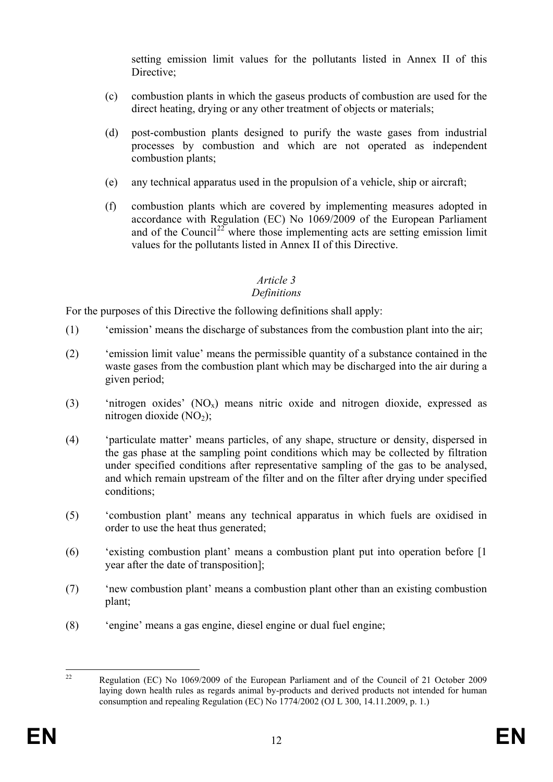setting emission limit values for the pollutants listed in Annex II of this Directive;

- (c) combustion plants in which the gaseus products of combustion are used for the direct heating, drying or any other treatment of objects or materials;
- (d) post-combustion plants designed to purify the waste gases from industrial processes by combustion and which are not operated as independent combustion plants;
- (e) any technical apparatus used in the propulsion of a vehicle, ship or aircraft;
- (f) combustion plants which are covered by implementing measures adopted in accordance with Regulation (EC) No 1069/2009 of the European Parliament and of the Council<sup>[22](#page-12-0)</sup> where those implementing acts are setting emission limit values for the pollutants listed in Annex II of this Directive.

### *Article 3*

### *Definitions*

For the purposes of this Directive the following definitions shall apply:

- (1) 'emission' means the discharge of substances from the combustion plant into the air;
- (2) 'emission limit value' means the permissible quantity of a substance contained in the waste gases from the combustion plant which may be discharged into the air during a given period;
- (3) 'nitrogen oxides'  $(NO_x)$  means nitric oxide and nitrogen dioxide, expressed as nitrogen dioxide  $(NO<sub>2</sub>)$ ;
- (4) 'particulate matter' means particles, of any shape, structure or density, dispersed in the gas phase at the sampling point conditions which may be collected by filtration under specified conditions after representative sampling of the gas to be analysed, and which remain upstream of the filter and on the filter after drying under specified conditions;
- (5) 'combustion plant' means any technical apparatus in which fuels are oxidised in order to use the heat thus generated;
- (6) 'existing combustion plant' means a combustion plant put into operation before [1 year after the date of transposition];
- (7) 'new combustion plant' means a combustion plant other than an existing combustion plant;
- (8) 'engine' means a gas engine, diesel engine or dual fuel engine;

<span id="page-12-0"></span><sup>&</sup>lt;sup>22</sup> Regulation (EC) No 1069/2009 of the European Parliament and of the Council of 21 October 2009 laying down health rules as regards animal by-products and derived products not intended for human consumption and repealing Regulation (EC) No 1774/2002 (OJ L 300, 14.11.2009, p. 1.)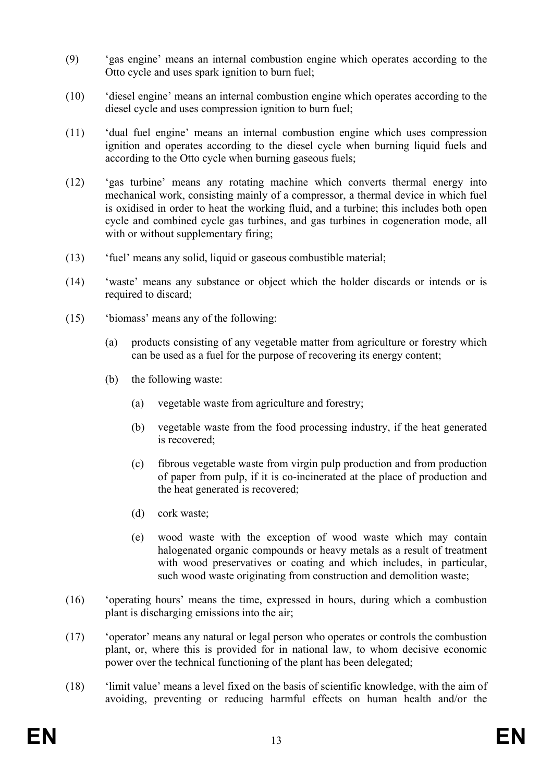- (9) 'gas engine' means an internal combustion engine which operates according to the Otto cycle and uses spark ignition to burn fuel;
- (10) 'diesel engine' means an internal combustion engine which operates according to the diesel cycle and uses compression ignition to burn fuel;
- (11) 'dual fuel engine' means an internal combustion engine which uses compression ignition and operates according to the diesel cycle when burning liquid fuels and according to the Otto cycle when burning gaseous fuels;
- (12) 'gas turbine' means any rotating machine which converts thermal energy into mechanical work, consisting mainly of a compressor, a thermal device in which fuel is oxidised in order to heat the working fluid, and a turbine; this includes both open cycle and combined cycle gas turbines, and gas turbines in cogeneration mode, all with or without supplementary firing;
- (13) 'fuel' means any solid, liquid or gaseous combustible material;
- (14) 'waste' means any substance or object which the holder discards or intends or is required to discard;
- (15) 'biomass' means any of the following:
	- (a) products consisting of any vegetable matter from agriculture or forestry which can be used as a fuel for the purpose of recovering its energy content;
	- (b) the following waste:
		- (a) vegetable waste from agriculture and forestry;
		- (b) vegetable waste from the food processing industry, if the heat generated is recovered;
		- (c) fibrous vegetable waste from virgin pulp production and from production of paper from pulp, if it is co-incinerated at the place of production and the heat generated is recovered;
		- (d) cork waste;
		- (e) wood waste with the exception of wood waste which may contain halogenated organic compounds or heavy metals as a result of treatment with wood preservatives or coating and which includes, in particular, such wood waste originating from construction and demolition waste;
- (16) 'operating hours' means the time, expressed in hours, during which a combustion plant is discharging emissions into the air;
- (17) 'operator' means any natural or legal person who operates or controls the combustion plant, or, where this is provided for in national law, to whom decisive economic power over the technical functioning of the plant has been delegated;
- (18) 'limit value' means a level fixed on the basis of scientific knowledge, with the aim of avoiding, preventing or reducing harmful effects on human health and/or the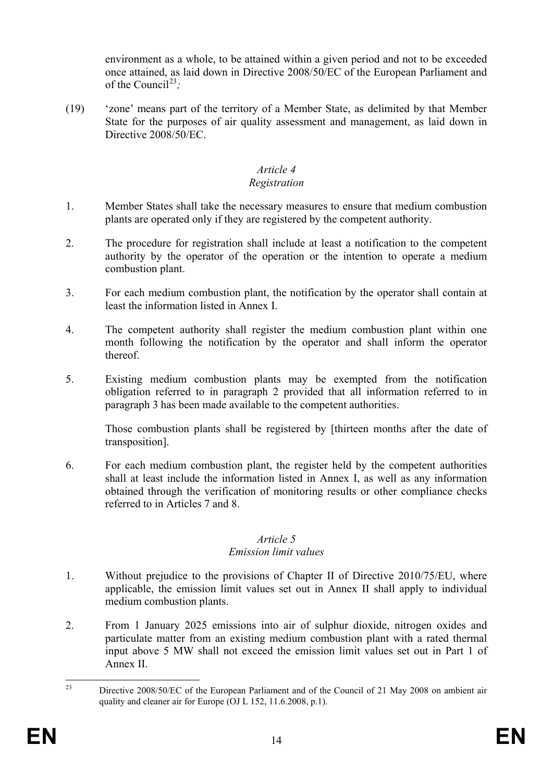environment as a whole, to be attained within a given period and not to be exceeded once attained, as laid down in Directive 2008/50/EC of the European Parliament and of the Council<sup>[23](#page-14-0)</sup>;

(19) 'zone' means part of the territory of a Member State, as delimited by that Member State for the purposes of air quality assessment and management, as laid down in Directive 2008/50/EC.

# *Article 4*

### *Registration*

- 1. Member States shall take the necessary measures to ensure that medium combustion plants are operated only if they are registered by the competent authority.
- 2. The procedure for registration shall include at least a notification to the competent authority by the operator of the operation or the intention to operate a medium combustion plant.
- 3. For each medium combustion plant, the notification by the operator shall contain at least the information listed in Annex I.
- 4. The competent authority shall register the medium combustion plant within one month following the notification by the operator and shall inform the operator thereof.
- 5. Existing medium combustion plants may be exempted from the notification obligation referred to in paragraph 2 provided that all information referred to in paragraph 3 has been made available to the competent authorities.

Those combustion plants shall be registered by [thirteen months after the date of transposition].

6. For each medium combustion plant, the register held by the competent authorities shall at least include the information listed in Annex I, as well as any information obtained through the verification of monitoring results or other compliance checks referred to in Articles 7 and 8.

# *Article 5*

# *Emission limit values*

- 1. Without prejudice to the provisions of Chapter II of Directive 2010/75/EU, where applicable, the emission limit values set out in Annex II shall apply to individual medium combustion plants.
- 2. From 1 January 2025 emissions into air of sulphur dioxide, nitrogen oxides and particulate matter from an existing medium combustion plant with a rated thermal input above 5 MW shall not exceed the emission limit values set out in Part 1 of Annex II.

<span id="page-14-0"></span><sup>&</sup>lt;sup>23</sup> Directive 2008/50/EC of the European Parliament and of the Council of 21 May 2008 on ambient air quality and cleaner air for Europe (OJ L 152, 11.6.2008, p.1).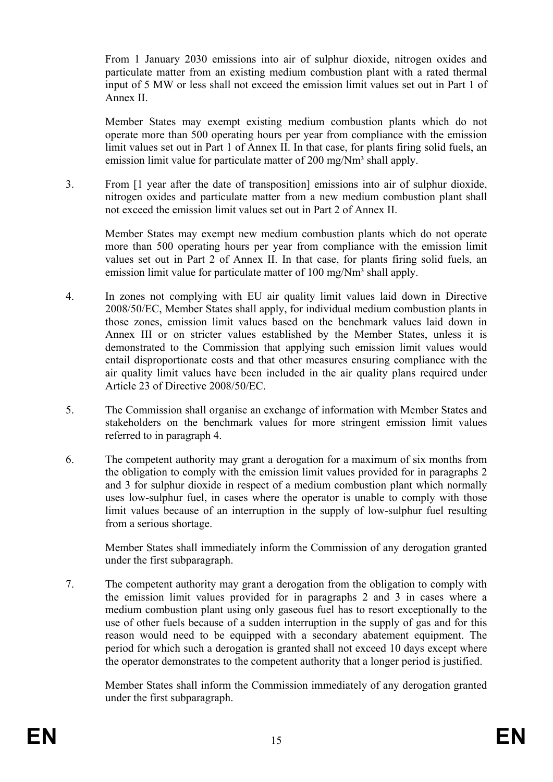From 1 January 2030 emissions into air of sulphur dioxide, nitrogen oxides and particulate matter from an existing medium combustion plant with a rated thermal input of 5 MW or less shall not exceed the emission limit values set out in Part 1 of Annex II.

Member States may exempt existing medium combustion plants which do not operate more than 500 operating hours per year from compliance with the emission limit values set out in Part 1 of Annex II. In that case, for plants firing solid fuels, an emission limit value for particulate matter of 200 mg/Nm<sup>3</sup> shall apply.

3. From [1 year after the date of transposition] emissions into air of sulphur dioxide, nitrogen oxides and particulate matter from a new medium combustion plant shall not exceed the emission limit values set out in Part 2 of Annex II.

Member States may exempt new medium combustion plants which do not operate more than 500 operating hours per year from compliance with the emission limit values set out in Part 2 of Annex II. In that case, for plants firing solid fuels, an emission limit value for particulate matter of 100 mg/Nm<sup>3</sup> shall apply.

- 4. In zones not complying with EU air quality limit values laid down in Directive 2008/50/EC, Member States shall apply, for individual medium combustion plants in those zones, emission limit values based on the benchmark values laid down in Annex III or on stricter values established by the Member States, unless it is demonstrated to the Commission that applying such emission limit values would entail disproportionate costs and that other measures ensuring compliance with the air quality limit values have been included in the air quality plans required under Article 23 of Directive 2008/50/EC.
- 5. The Commission shall organise an exchange of information with Member States and stakeholders on the benchmark values for more stringent emission limit values referred to in paragraph 4.
- 6. The competent authority may grant a derogation for a maximum of six months from the obligation to comply with the emission limit values provided for in paragraphs 2 and 3 for sulphur dioxide in respect of a medium combustion plant which normally uses low-sulphur fuel, in cases where the operator is unable to comply with those limit values because of an interruption in the supply of low-sulphur fuel resulting from a serious shortage.

Member States shall immediately inform the Commission of any derogation granted under the first subparagraph.

7. The competent authority may grant a derogation from the obligation to comply with the emission limit values provided for in paragraphs 2 and 3 in cases where a medium combustion plant using only gaseous fuel has to resort exceptionally to the use of other fuels because of a sudden interruption in the supply of gas and for this reason would need to be equipped with a secondary abatement equipment. The period for which such a derogation is granted shall not exceed 10 days except where the operator demonstrates to the competent authority that a longer period is justified.

Member States shall inform the Commission immediately of any derogation granted under the first subparagraph.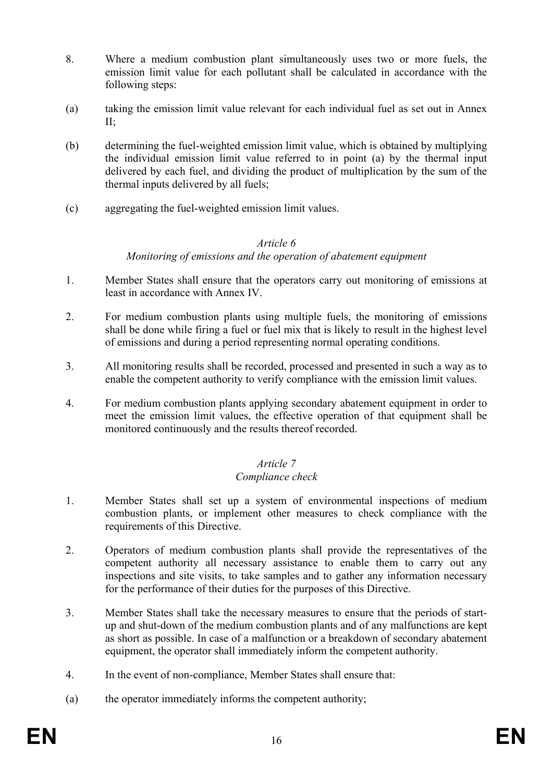- 8. Where a medium combustion plant simultaneously uses two or more fuels, the emission limit value for each pollutant shall be calculated in accordance with the following steps:
- (a) taking the emission limit value relevant for each individual fuel as set out in Annex  $II:$
- (b) determining the fuel-weighted emission limit value, which is obtained by multiplying the individual emission limit value referred to in point (a) by the thermal input delivered by each fuel, and dividing the product of multiplication by the sum of the thermal inputs delivered by all fuels;
- (c) aggregating the fuel-weighted emission limit values.

#### *Article 6*

### *Monitoring of emissions and the operation of abatement equipment*

- 1. Member States shall ensure that the operators carry out monitoring of emissions at least in accordance with Annex IV.
- 2. For medium combustion plants using multiple fuels, the monitoring of emissions shall be done while firing a fuel or fuel mix that is likely to result in the highest level of emissions and during a period representing normal operating conditions.
- 3. All monitoring results shall be recorded, processed and presented in such a way as to enable the competent authority to verify compliance with the emission limit values.
- 4. For medium combustion plants applying secondary abatement equipment in order to meet the emission limit values, the effective operation of that equipment shall be monitored continuously and the results thereof recorded.

# *Article 7*

#### *Compliance check*

- 1. Member States shall set up a system of environmental inspections of medium combustion plants, or implement other measures to check compliance with the requirements of this Directive.
- 2. Operators of medium combustion plants shall provide the representatives of the competent authority all necessary assistance to enable them to carry out any inspections and site visits, to take samples and to gather any information necessary for the performance of their duties for the purposes of this Directive.
- 3. Member States shall take the necessary measures to ensure that the periods of startup and shut-down of the medium combustion plants and of any malfunctions are kept as short as possible. In case of a malfunction or a breakdown of secondary abatement equipment, the operator shall immediately inform the competent authority.
- 4. In the event of non-compliance, Member States shall ensure that:
- (a) the operator immediately informs the competent authority;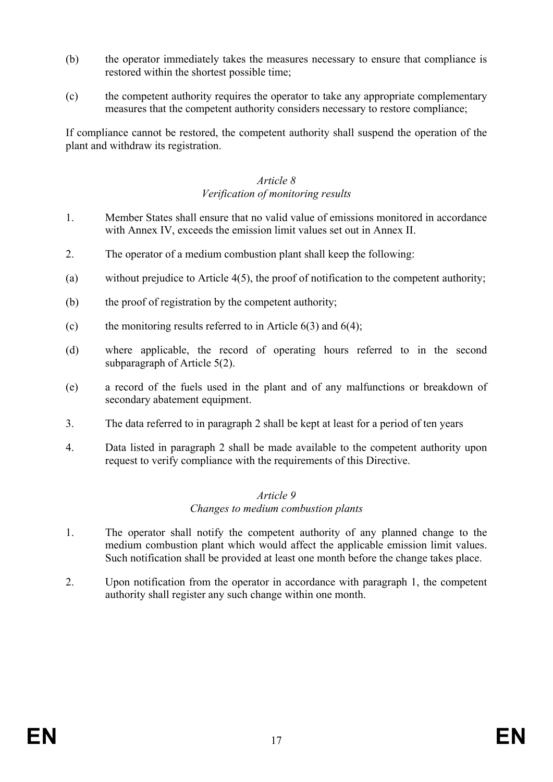- (b) the operator immediately takes the measures necessary to ensure that compliance is restored within the shortest possible time;
- (c) the competent authority requires the operator to take any appropriate complementary measures that the competent authority considers necessary to restore compliance;

If compliance cannot be restored, the competent authority shall suspend the operation of the plant and withdraw its registration.

#### *Article 8 Verification of monitoring results*

- 1. Member States shall ensure that no valid value of emissions monitored in accordance with Annex IV, exceeds the emission limit values set out in Annex II.
- 2. The operator of a medium combustion plant shall keep the following:
- (a) without prejudice to Article 4(5), the proof of notification to the competent authority;
- (b) the proof of registration by the competent authority;
- (c) the monitoring results referred to in Article  $6(3)$  and  $6(4)$ ;
- (d) where applicable, the record of operating hours referred to in the second subparagraph of Article 5(2).
- (e) a record of the fuels used in the plant and of any malfunctions or breakdown of secondary abatement equipment.
- 3. The data referred to in paragraph 2 shall be kept at least for a period of ten years
- 4. Data listed in paragraph 2 shall be made available to the competent authority upon request to verify compliance with the requirements of this Directive.

#### *Article 9 Changes to medium combustion plants*

- 1. The operator shall notify the competent authority of any planned change to the medium combustion plant which would affect the applicable emission limit values. Such notification shall be provided at least one month before the change takes place.
- 2. Upon notification from the operator in accordance with paragraph 1, the competent authority shall register any such change within one month.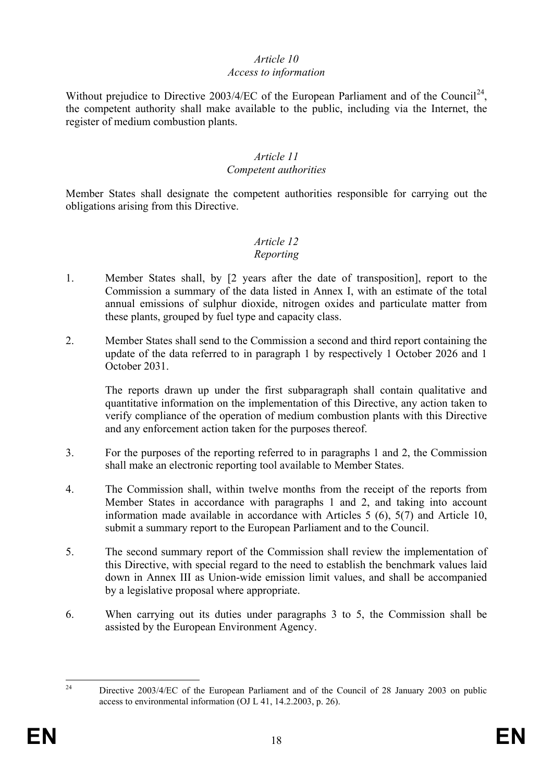#### *Article 10 Access to information*

Without prejudice to Directive 2003/4/EC of the European Parliament and of the Council<sup>24</sup>, the competent authority shall make available to the public, including via the Internet, the register of medium combustion plants.

#### *Article 11 Competent authorities*

Member States shall designate the competent authorities responsible for carrying out the obligations arising from this Directive.

#### *Article 12 Reporting*

- 1. Member States shall, by [2 years after the date of transposition], report to the Commission a summary of the data listed in Annex I, with an estimate of the total annual emissions of sulphur dioxide, nitrogen oxides and particulate matter from these plants, grouped by fuel type and capacity class.
- 2. Member States shall send to the Commission a second and third report containing the update of the data referred to in paragraph 1 by respectively 1 October 2026 and 1 October 2031.

The reports drawn up under the first subparagraph shall contain qualitative and quantitative information on the implementation of this Directive, any action taken to verify compliance of the operation of medium combustion plants with this Directive and any enforcement action taken for the purposes thereof.

- 3. For the purposes of the reporting referred to in paragraphs 1 and 2, the Commission shall make an electronic reporting tool available to Member States.
- 4. The Commission shall, within twelve months from the receipt of the reports from Member States in accordance with paragraphs 1 and 2, and taking into account information made available in accordance with Articles 5 (6), 5(7) and Article 10, submit a summary report to the European Parliament and to the Council.
- 5. The second summary report of the Commission shall review the implementation of this Directive, with special regard to the need to establish the benchmark values laid down in Annex III as Union-wide emission limit values, and shall be accompanied by a legislative proposal where appropriate.
- 6. When carrying out its duties under paragraphs 3 to 5, the Commission shall be assisted by the European Environment Agency.

<span id="page-18-0"></span><sup>&</sup>lt;sup>24</sup> Directive 2003/4/EC of the European Parliament and of the Council of 28 January 2003 on public access to environmental information (OJ L 41, 14.2.2003, p. 26).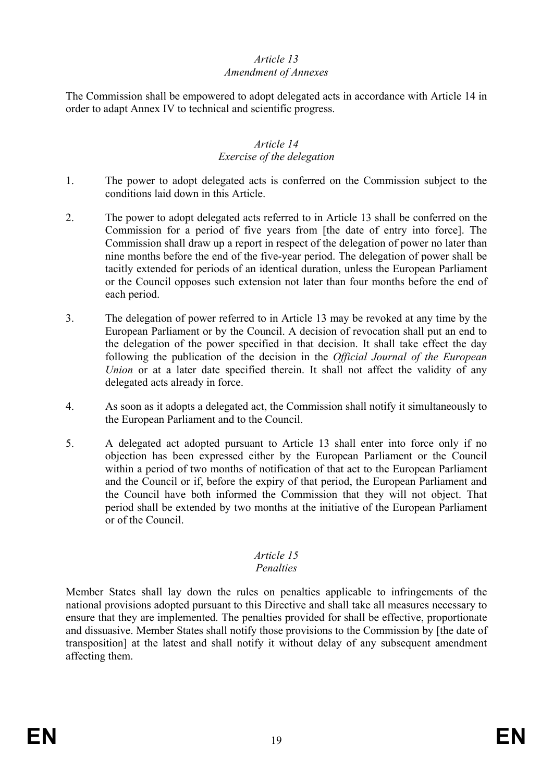## *Article 13*

#### *Amendment of Annexes*

The Commission shall be empowered to adopt delegated acts in accordance with Article 14 in order to adapt Annex IV to technical and scientific progress.

#### *Article 14 Exercise of the delegation*

- 1. The power to adopt delegated acts is conferred on the Commission subject to the conditions laid down in this Article.
- 2. The power to adopt delegated acts referred to in Article 13 shall be conferred on the Commission for a period of five years from [the date of entry into force]. The Commission shall draw up a report in respect of the delegation of power no later than nine months before the end of the five-year period. The delegation of power shall be tacitly extended for periods of an identical duration, unless the European Parliament or the Council opposes such extension not later than four months before the end of each period.
- 3. The delegation of power referred to in Article 13 may be revoked at any time by the European Parliament or by the Council. A decision of revocation shall put an end to the delegation of the power specified in that decision. It shall take effect the day following the publication of the decision in the *Official Journal of the European Union* or at a later date specified therein. It shall not affect the validity of any delegated acts already in force.
- 4. As soon as it adopts a delegated act, the Commission shall notify it simultaneously to the European Parliament and to the Council.
- 5. A delegated act adopted pursuant to Article 13 shall enter into force only if no objection has been expressed either by the European Parliament or the Council within a period of two months of notification of that act to the European Parliament and the Council or if, before the expiry of that period, the European Parliament and the Council have both informed the Commission that they will not object. That period shall be extended by two months at the initiative of the European Parliament or of the Council.

# *Article 15*

#### *Penalties*

Member States shall lay down the rules on penalties applicable to infringements of the national provisions adopted pursuant to this Directive and shall take all measures necessary to ensure that they are implemented. The penalties provided for shall be effective, proportionate and dissuasive. Member States shall notify those provisions to the Commission by [the date of transposition] at the latest and shall notify it without delay of any subsequent amendment affecting them.